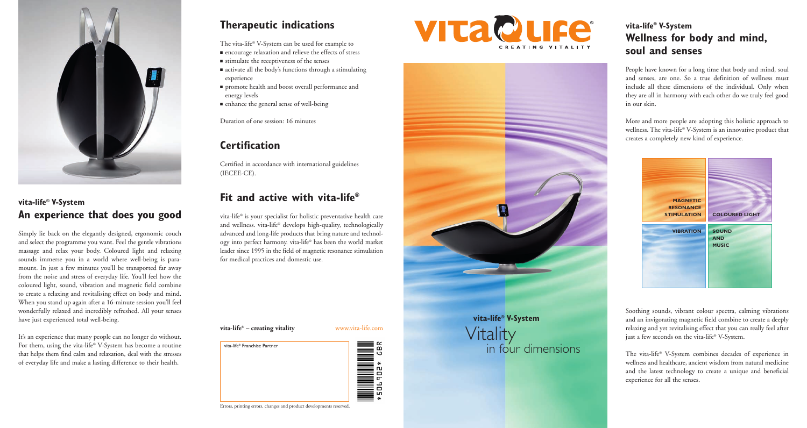

## **vita-life® V-System An experience that does you good**

Simply lie back on the elegantly designed, ergonomic couch and select the programme you want. Feel the gentle vibrations massage and relax your body. Coloured light and relaxing sounds immerse you in a world where well-being is paramount. In just a few minutes you'll be transported far away from the noise and stress of everyday life. You'll feel how the coloured light, sound, vibration and magnetic field combine to create a relaxing and revitalising effect on body and mind. When you stand up again after a 16-minute session you'll feel wonderfully relaxed and incredibly refreshed. All your senses have just experienced total well-being.

It's an experience that many people can no longer do without. For them, using the vita-life® V-System has become a routine that helps them find calm and relaxation, deal with the stresses of everyday life and make a lasting difference to their health.

# **Therapeutic indications**

The vita-life® V-System can be used for example to

- encourage relaxation and relieve the effects of stress
- stimulate the receptiveness of the senses
- activate all the body's functions through a stimulating experience
- promote health and boost overall performance and energy levels
- enhance the general sense of well-being

Duration of one session: 16 minutes

### **Certification**

Certified in accordance with international guidelines (IECEE-CE).

# **Fit and active with vita-life®**

vita-life® is your specialist for holistic preventative health care and wellness. vita-life® develops high-quality, technologically advanced and long-life products that bring nature and technology into perfect harmony. vita-life® has been the world market leader since 1995 in the field of magnetic resonance stimulation for medical practices and domestic use.









# Vitality<br>in four dimensions

## **vita-life® V-System Wellness for body and mind, soul and senses**

People have known for a long time that body and mind, soul and senses, are one. So a true definition of wellness must include all these dimensions of the individual. Only when they are all in harmony with each other do we truly feel good in our skin.

More and more people are adopting this holistic approach to wellness. The vita-life® V-System is an innovative product that creates a completely new kind of experience.



Soothing sounds, vibrant colour spectra, calming vibrations and an invigorating magnetic field combine to create a deeply relaxing and yet revitalising effect that you can really feel after just a few seconds on the vita-life® V-System.

The vita-life® V-System combines decades of experience in wellness and healthcare, ancient wisdom from natural medicine and the latest technology to create a unique and beneficial experience for all the senses.